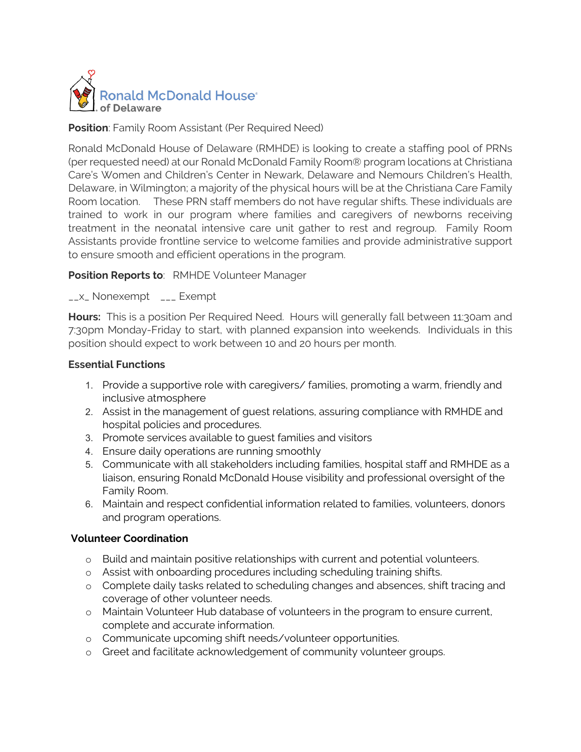

### **Position**: Family Room Assistant (Per Required Need)

Ronald McDonald House of Delaware (RMHDE) is looking to create a staffing pool of PRNs (per requested need) at our Ronald McDonald Family Room® program locations at Christiana Care's Women and Children's Center in Newark, Delaware and Nemours Children's Health, Delaware, in Wilmington; a majority of the physical hours will be at the Christiana Care Family Room location. These PRN staff members do not have regular shifts. These individuals are trained to work in our program where families and caregivers of newborns receiving treatment in the neonatal intensive care unit gather to rest and regroup. Family Room Assistants provide frontline service to welcome families and provide administrative support to ensure smooth and efficient operations in the program.

#### **Position Reports to**: RMHDE Volunteer Manager

\_\_x\_ Nonexempt \_\_\_ Exempt

Hours: This is a position Per Required Need. Hours will generally fall between 11:30am and 7:30pm Monday-Friday to start, with planned expansion into weekends. Individuals in this position should expect to work between 10 and 20 hours per month.

#### **Essential Functions**

- 1. Provide a supportive role with caregivers/ families, promoting a warm, friendly and inclusive atmosphere
- 2. Assist in the management of guest relations, assuring compliance with RMHDE and hospital policies and procedures.
- 3. Promote services available to guest families and visitors
- 4. Ensure daily operations are running smoothly
- 5. Communicate with all stakeholders including families, hospital staff and RMHDE as a liaison, ensuring Ronald McDonald House visibility and professional oversight of the Family Room.
- 6. Maintain and respect confidential information related to families, volunteers, donors and program operations.

# **Volunteer Coordination**

- o Build and maintain positive relationships with current and potential volunteers.
- o Assist with onboarding procedures including scheduling training shifts.
- o Complete daily tasks related to scheduling changes and absences, shift tracing and coverage of other volunteer needs.
- o Maintain Volunteer Hub database of volunteers in the program to ensure current, complete and accurate information.
- o Communicate upcoming shift needs/volunteer opportunities.
- o Greet and facilitate acknowledgement of community volunteer groups.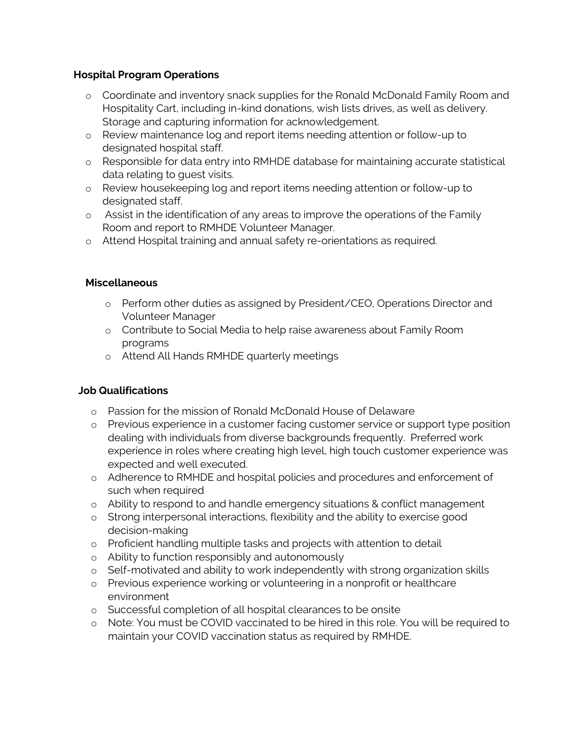### **Hospital Program Operations**

- o Coordinate and inventory snack supplies for the Ronald McDonald Family Room and Hospitality Cart, including in-kind donations, wish lists drives, as well as delivery. Storage and capturing information for acknowledgement.
- o Review maintenance log and report items needing attention or follow-up to designated hospital staff.
- o Responsible for data entry into RMHDE database for maintaining accurate statistical data relating to guest visits.
- o Review housekeeping log and report items needing attention or follow-up to designated staff.
- o Assist in the identification of any areas to improve the operations of the Family Room and report to RMHDE Volunteer Manager.
- o Attend Hospital training and annual safety re-orientations as required.

# **Miscellaneous**

- o Perform other duties as assigned by President/CEO, Operations Director and Volunteer Manager
- o Contribute to Social Media to help raise awareness about Family Room programs
- o Attend All Hands RMHDE quarterly meetings

# **Job Qualifications**

- o Passion for the mission of Ronald McDonald House of Delaware
- o Previous experience in a customer facing customer service or support type position dealing with individuals from diverse backgrounds frequently. Preferred work experience in roles where creating high level, high touch customer experience was expected and well executed.
- o Adherence to RMHDE and hospital policies and procedures and enforcement of such when required
- o Ability to respond to and handle emergency situations & conflict management
- o Strong interpersonal interactions, flexibility and the ability to exercise good decision-making
- o Proficient handling multiple tasks and projects with attention to detail
- o Ability to function responsibly and autonomously
- o Self-motivated and ability to work independently with strong organization skills
- o Previous experience working or volunteering in a nonprofit or healthcare environment
- o Successful completion of all hospital clearances to be onsite
- o Note: You must be COVID vaccinated to be hired in this role. You will be required to maintain your COVID vaccination status as required by RMHDE.